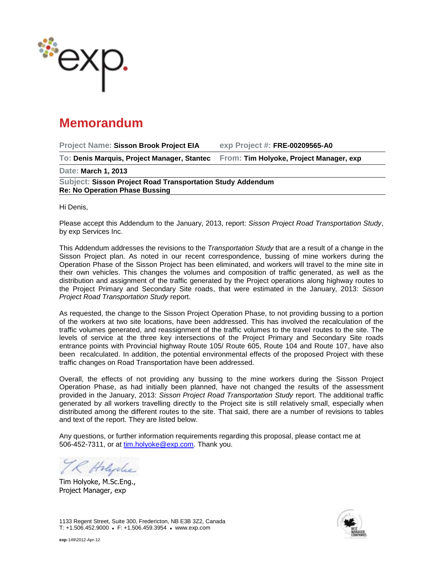

## **Memorandum**

**Project Name: Sisson Brook Project EIA exp Project #: FRE-00209565-A0 To: Denis Marquis, Project Manager, Stantec From: Tim Holyoke, Project Manager, exp Date: March 1, 2013 Subject: Sisson Project Road Transportation Study Addendum Re: No Operation Phase Bussing**

Hi Denis,

Please accept this Addendum to the January, 2013, report: *Sisson Project Road Transportation Study*, by exp Services Inc.

This Addendum addresses the revisions to the *Transportation Study* that are a result of a change in the Sisson Project plan. As noted in our recent correspondence, bussing of mine workers during the Operation Phase of the Sisson Project has been eliminated, and workers will travel to the mine site in their own vehicles. This changes the volumes and composition of traffic generated, as well as the distribution and assignment of the traffic generated by the Project operations along highway routes to the Project Primary and Secondary Site roads, that were estimated in the January, 2013: *Sisson Project Road Transportation Study* report.

As requested, the change to the Sisson Project Operation Phase, to not providing bussing to a portion of the workers at two site locations, have been addressed. This has involved the recalculation of the traffic volumes generated, and reassignment of the traffic volumes to the travel routes to the site. The levels of service at the three key intersections of the Project Primary and Secondary Site roads entrance points with Provincial highway Route 105/ Route 605, Route 104 and Route 107, have also been recalculated. In addition, the potential environmental effects of the proposed Project with these traffic changes on Road Transportation have been addressed.

Overall, the effects of not providing any bussing to the mine workers during the Sisson Project Operation Phase, as had initially been planned, have not changed the results of the assessment provided in the January, 2013: *Sisson Project Road Transportation Study* report. The additional traffic generated by all workers travelling directly to the Project site is still relatively small, especially when distributed among the different routes to the site. That said, there are a number of revisions to tables and text of the report. They are listed below.

Any questions, or further information requirements regarding this proposal, please contact me at 506-452-7311, or at [tim.holyoke@exp.com.](mailto:tim.holyoke@exp.com) Thank you.

R Holyche

Tim Holyoke, M.Sc.Eng., Project Manager, exp

1133 Regent Street, Suite 300, Fredericton, NB E3B 3Z2, Canada T: +1.506.452.9000 F: +1.506.459.3954 www.exp.com

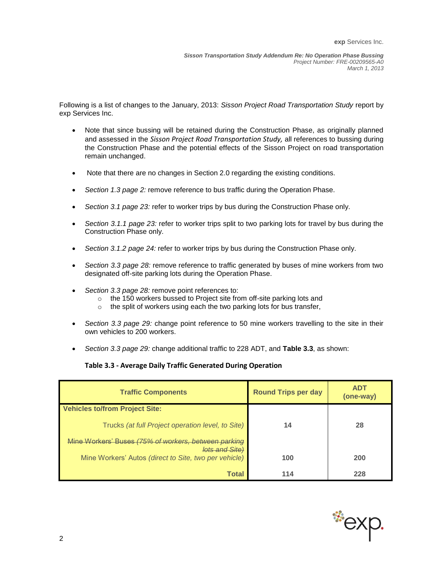Following is a list of changes to the January, 2013: *Sisson Project Road Transportation Study* report by exp Services Inc.

- Note that since bussing will be retained during the Construction Phase, as originally planned and assessed in the *Sisson Project Road Transportation Study,* all references to bussing during the Construction Phase and the potential effects of the Sisson Project on road transportation remain unchanged.
- Note that there are no changes in Section 2.0 regarding the existing conditions.
- *Section 1.3 page 2:* remove reference to bus traffic during the Operation Phase.
- *Section 3.1 page 23:* refer to worker trips by bus during the Construction Phase only.
- *Section 3.1.1 page 23:* refer to worker trips split to two parking lots for travel by bus during the Construction Phase only.
- *Section 3.1.2 page 24:* refer to worker trips by bus during the Construction Phase only.
- *Section 3.3 page 28:* remove reference to traffic generated by buses of mine workers from two designated off-site parking lots during the Operation Phase.
- *Section 3.3 page 28:* remove point references to:
	- o the 150 workers bussed to Project site from off-site parking lots and
	- o the split of workers using each the two parking lots for bus transfer,
- *Section 3.3 page 29:* change point reference to 50 mine workers travelling to the site in their own vehicles to 200 workers.
- *Section 3.3 page 29:* change additional traffic to 228 ADT, and **Table 3.3**, as shown:

## **Table 3.3 - Average Daily Traffic Generated During Operation**

| <b>Traffic Components</b>                                                     | <b>Round Trips per day</b> | <b>ADT</b><br>(one-way) |
|-------------------------------------------------------------------------------|----------------------------|-------------------------|
| <b>Vehicles to/from Project Site:</b>                                         |                            |                         |
| Trucks (at full Project operation level, to Site)                             | 14                         | 28                      |
| Mine Workers' Buses (75% of workers, between parking<br><i>lots and Sitel</i> |                            |                         |
| Mine Workers' Autos (direct to Site, two per vehicle)                         | 100                        | 200                     |
| Total                                                                         | 114                        | 228                     |

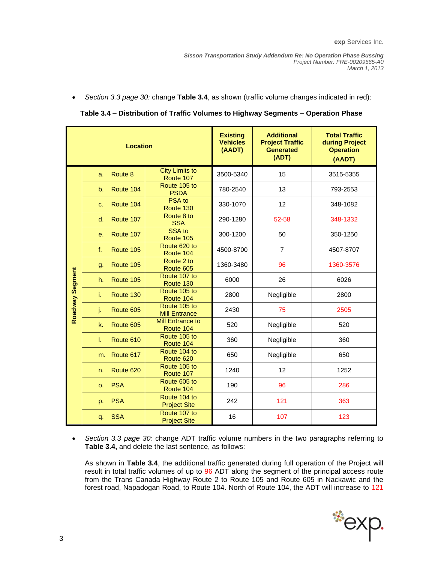*Section 3.3 page 30:* change **Table 3.4**, as shown (traffic volume changes indicated in red):

| <b>Location</b> |    |            |                                      | <b>Existing</b><br><b>Vehicles</b><br>(AADT) | <b>Additional</b><br><b>Project Traffic</b><br><b>Generated</b><br>(ADT) | <b>Total Traffic</b><br>during Project<br><b>Operation</b><br>(AADT) |
|-----------------|----|------------|--------------------------------------|----------------------------------------------|--------------------------------------------------------------------------|----------------------------------------------------------------------|
|                 | a. | Route 8    | <b>City Limits to</b><br>Route 107   | 3500-5340                                    | 15                                                                       | 3515-5355                                                            |
|                 | b. | Route 104  | Route 105 to<br><b>PSDA</b>          | 780-2540                                     | 13                                                                       | 793-2553                                                             |
|                 | C. | Route 104  | PSA to<br>Route 130                  | 330-1070                                     | 12                                                                       | 348-1082                                                             |
|                 | d. | Route 107  | Route 8 to<br><b>SSA</b>             | 290-1280                                     | 52-58                                                                    | 348-1332                                                             |
|                 | е. | Route 107  | SSA to<br>Route 105                  | 300-1200                                     | 50                                                                       | 350-1250                                                             |
|                 | f. | Route 105  | Route 620 to<br>Route 104            | 4500-8700                                    | $\overline{7}$                                                           | 4507-8707                                                            |
|                 | g. | Route 105  | Route 2 to<br>Route 605              | 1360-3480                                    | 96                                                                       | 1360-3576                                                            |
|                 | h. | Route 105  | Route 107 to<br>Route 130            | 6000                                         | 26                                                                       | 6026                                                                 |
|                 | i. | Route 130  | Route 105 to<br>Route 104            | 2800                                         | Negligible                                                               | 2800                                                                 |
| Roadway Segment | j. | Route 605  | Route 105 to<br><b>Mill Entrance</b> | 2430                                         | 75                                                                       | 2505                                                                 |
|                 | k. | Route 605  | <b>Mill Entrance to</b><br>Route 104 | 520                                          | Negligible                                                               | 520                                                                  |
|                 | T. | Route 610  | Route 105 to<br>Route 104            | 360                                          | Negligible                                                               | 360                                                                  |
|                 | m. | Route 617  | Route 104 to<br>Route 620            | 650                                          | Negligible                                                               | 650                                                                  |
|                 | n. | Route 620  | Route 105 to<br>Route 107            | 1240                                         | 12                                                                       | 1252                                                                 |
|                 | 0. | <b>PSA</b> | Route 605 to<br>Route 104            | 190                                          | 96                                                                       | 286                                                                  |
|                 | p. | <b>PSA</b> | Route 104 to<br><b>Project Site</b>  | 242                                          | 121                                                                      | 363                                                                  |
|                 | q. | <b>SSA</b> | Route 107 to<br><b>Project Site</b>  | 16                                           | 107                                                                      | 123                                                                  |

 *Section 3.3 page 30:* change ADT traffic volume numbers in the two paragraphs referring to **Table 3.4,** and delete the last sentence, as follows:

As shown in **Table 3.4**, the additional traffic generated during full operation of the Project will result in total traffic volumes of up to 96 ADT along the segment of the principal access route from the Trans Canada Highway Route 2 to Route 105 and Route 605 in Nackawic and the forest road, Napadogan Road, to Route 104. North of Route 104, the ADT will increase to 121

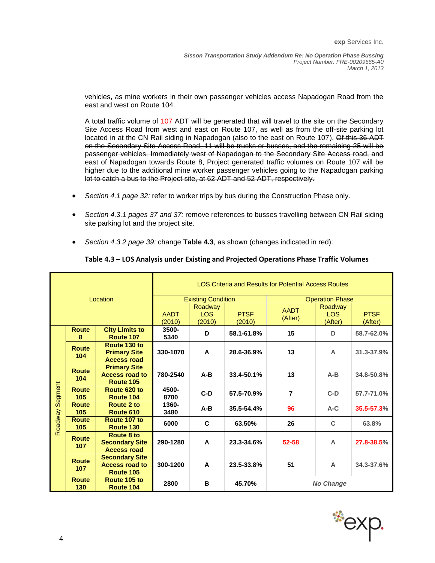vehicles, as mine workers in their own passenger vehicles access Napadogan Road from the east and west on Route 104.

A total traffic volume of 107 ADT will be generated that will travel to the site on the Secondary Site Access Road from west and east on Route 107, as well as from the off-site parking lot located in at the CN Rail siding in Napadogan (also to the east on Route 107). Of this 36 ADT on the Secondary Site Access Road, 11 will be trucks or busses, and the remaining 25 will be passenger vehicles. Immediately west of Napadogan to the Secondary Site Access road, and east of Napadogan towards Route 8, Project generated traffic volumes on Route 107 will be higher due to the additional mine worker passenger vehicles going to the Napadogan parking lot to catch a bus to the Project site, at 62 ADT and 52 ADT, respectively.

- *Section 4.1 page 32:* refer to worker trips by bus during the Construction Phase only.
- *Section 4.3.1 pages 37 and 37:* remove references to busses travelling between CN Rail siding site parking lot and the project site.
- *Section 4.3.2 page 39:* change **Table 4.3**, as shown (changes indicated in red):

| Location           |                     | <b>LOS Criteria and Results for Potential Access Routes</b> |                           |                       |                 |                                  |                        |            |
|--------------------|---------------------|-------------------------------------------------------------|---------------------------|-----------------------|-----------------|----------------------------------|------------------------|------------|
|                    |                     |                                                             | <b>Existing Condition</b> |                       |                 | <b>Operation Phase</b>           |                        |            |
|                    |                     | <b>AADT</b><br>(2010)                                       | Roadway<br>LOS.<br>(2010) | <b>PTSF</b><br>(2010) | AADT<br>(After) | Roadway<br><b>LOS</b><br>(After) | <b>PTSF</b><br>(After) |            |
|                    | <b>Route</b><br>8   | <b>City Limits to</b><br>Route 107                          | 3500-<br>5340             | D                     | 58.1-61.8%      | 15                               | D                      | 58.7-62.0% |
|                    | <b>Route</b><br>104 | Route 130 to<br><b>Primary Site</b><br><b>Access road</b>   | 330-1070                  | A                     | 28.6-36.9%      | 13                               | A                      | 31.3-37.9% |
| Segment<br>Roadway | <b>Route</b><br>104 | <b>Primary Site</b><br><b>Access road to</b><br>Route 105   | 780-2540                  | $A-B$                 | 33.4-50.1%      | 13                               | $A-B$                  | 34.8-50.8% |
|                    | <b>Route</b><br>105 | Route 620 to<br>Route 104                                   | 4500-<br>8700             | $C-D$                 | 57.5-70.9%      | $\overline{7}$                   | $C-D$                  | 57.7-71.0% |
|                    | <b>Route</b><br>105 | Route 2 to<br>Route 610                                     | 1360-<br>3480             | $A-B$                 | 35.5-54.4%      | 96                               | $A-C$                  | 35.5-57.3% |
|                    | <b>Route</b><br>105 | Route 107 to<br>Route 130                                   | 6000                      | C                     | 63.50%          | 26                               | C                      | 63.8%      |
|                    | Route<br>107        | Route 8 to<br><b>Secondary Site</b><br><b>Access road</b>   | 290-1280                  | A                     | 23.3-34.6%      | 52-58                            | A                      | 27.8-38.5% |
|                    | <b>Route</b><br>107 | <b>Secondary Site</b><br><b>Access road to</b><br>Route 105 | 300-1200                  | A                     | 23.5-33.8%      | 51                               | A                      | 34.3-37.6% |
|                    | <b>Route</b><br>130 | Route 105 to<br>Route 104                                   | 2800                      | в                     | 45.70%          |                                  | <b>No Change</b>       |            |

## **Table 4.3 – LOS Analysis under Existing and Projected Operations Phase Traffic Volumes**